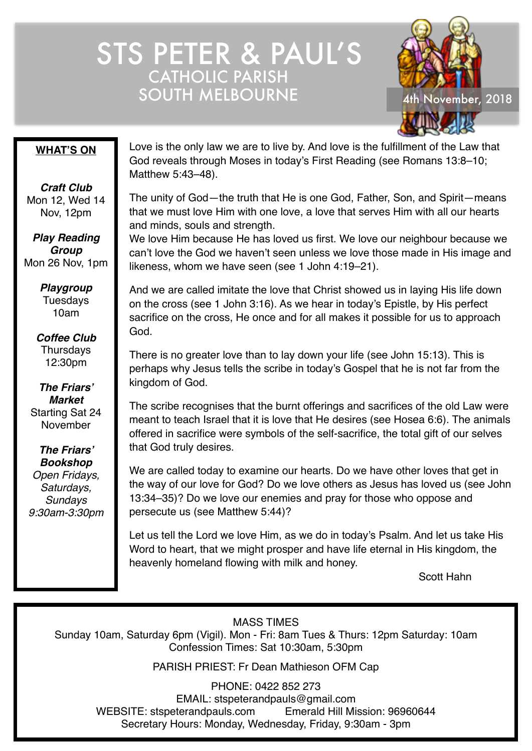# STS PETER & PAUL'S CATHOLIC PARISH SOUTH MELBOURNE 4th November, 2018



#### **WHAT'S ON**

*Craft Club* Mon 12, Wed 14 Nov, 12pm

*Play Reading Group* Mon 26 Nov, 1pm

> *Playgroup* Tuesdays 10am

*Coffee Club* **Thursdays** 12:30pm

*The Friars' Market* Starting Sat 24 November

*The Friars' Bookshop Open Fridays, Saturdays, Sundays 9:30am-3:30pm* Love is the only law we are to live by. And love is the fulfillment of the Law that God reveals through Moses in today's First Reading (see Romans 13:8–10; Matthew 5:43–48).

The unity of God—the truth that He is one God, Father, Son, and Spirit—means that we must love Him with one love, a love that serves Him with all our hearts and minds, souls and strength.

We love Him because He has loved us first. We love our neighbour because we can't love the God we haven't seen unless we love those made in His image and likeness, whom we have seen (see 1 John 4:19–21).

And we are called imitate the love that Christ showed us in laying His life down on the cross (see 1 John 3:16). As we hear in today's Epistle, by His perfect sacrifice on the cross, He once and for all makes it possible for us to approach God.

There is no greater love than to lay down your life (see John 15:13). This is perhaps why Jesus tells the scribe in today's Gospel that he is not far from the kingdom of God.

The scribe recognises that the burnt offerings and sacrifices of the old Law were meant to teach Israel that it is love that He desires (see Hosea 6:6). The animals offered in sacrifice were symbols of the self-sacrifice, the total gift of our selves that God truly desires.

We are called today to examine our hearts. Do we have other loves that get in the way of our love for God? Do we love others as Jesus has loved us (see John 13:34–35)? Do we love our enemies and pray for those who oppose and persecute us (see Matthew 5:44)?

Let us tell the Lord we love Him, as we do in today's Psalm. And let us take His Word to heart, that we might prosper and have life eternal in His kingdom, the heavenly homeland flowing with milk and honey.

Scott Hahn

MASS TIMES

Sunday 10am, Saturday 6pm (Vigil). Mon - Fri: 8am Tues & Thurs: 12pm Saturday: 10am Confession Times: Sat 10:30am, 5:30pm

PARISH PRIEST: Fr Dean Mathieson OFM Cap

PHONE: 0422 852 273 EMAIL: stspeterandpauls@gmail.com WEBSITE: stspeterandpauls.com Emerald Hill Mission: 96960644 Secretary Hours: Monday, Wednesday, Friday, 9:30am - 3pm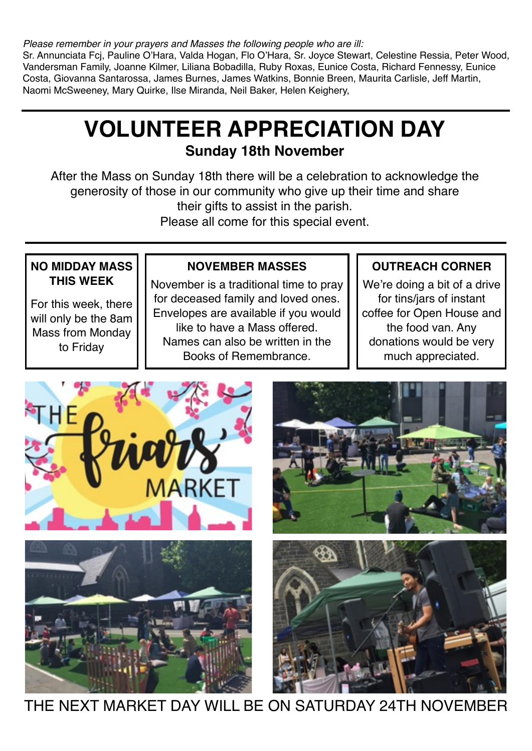*Please remember in your prayers and Masses the following people who are ill:*

Sr. Annunciata Fcj, Pauline O'Hara, Valda Hogan, Flo O'Hara, Sr. Joyce Stewart, Celestine Ressia, Peter Wood, Vandersman Family, Joanne Kilmer, Liliana Bobadilla, Ruby Roxas, Eunice Costa, Richard Fennessy, Eunice Costa, Giovanna Santarossa, James Burnes, James Watkins, Bonnie Breen, Maurita Carlisle, Jeff Martin, Naomi McSweeney, Mary Quirke, Ilse Miranda, Neil Baker, Helen Keighery,

# **VOLUNTEER APPRECIATION DAY Sunday 18th November**

After the Mass on Sunday 18th there will be a celebration to acknowledge the generosity of those in our community who give up their time and share their gifts to assist in the parish.

Please all come for this special event.

### **NO MIDDAY MASS THIS WEEK**

For this week, there will only be the 8am Mass from Monday to Friday

### **NOVEMBER MASSES**

November is a traditional time to pray for deceased family and loved ones. Envelopes are available if you would like to have a Mass offered. Names can also be written in the Books of Remembrance.

### **OUTREACH CORNER**

We're doing a bit of a drive for tins/jars of instant coffee for Open House and the food van. Any donations would be very much appreciated.









THE NEXT MARKET DAY WILL BE ON SATURDAY 24TH NOVEMBER